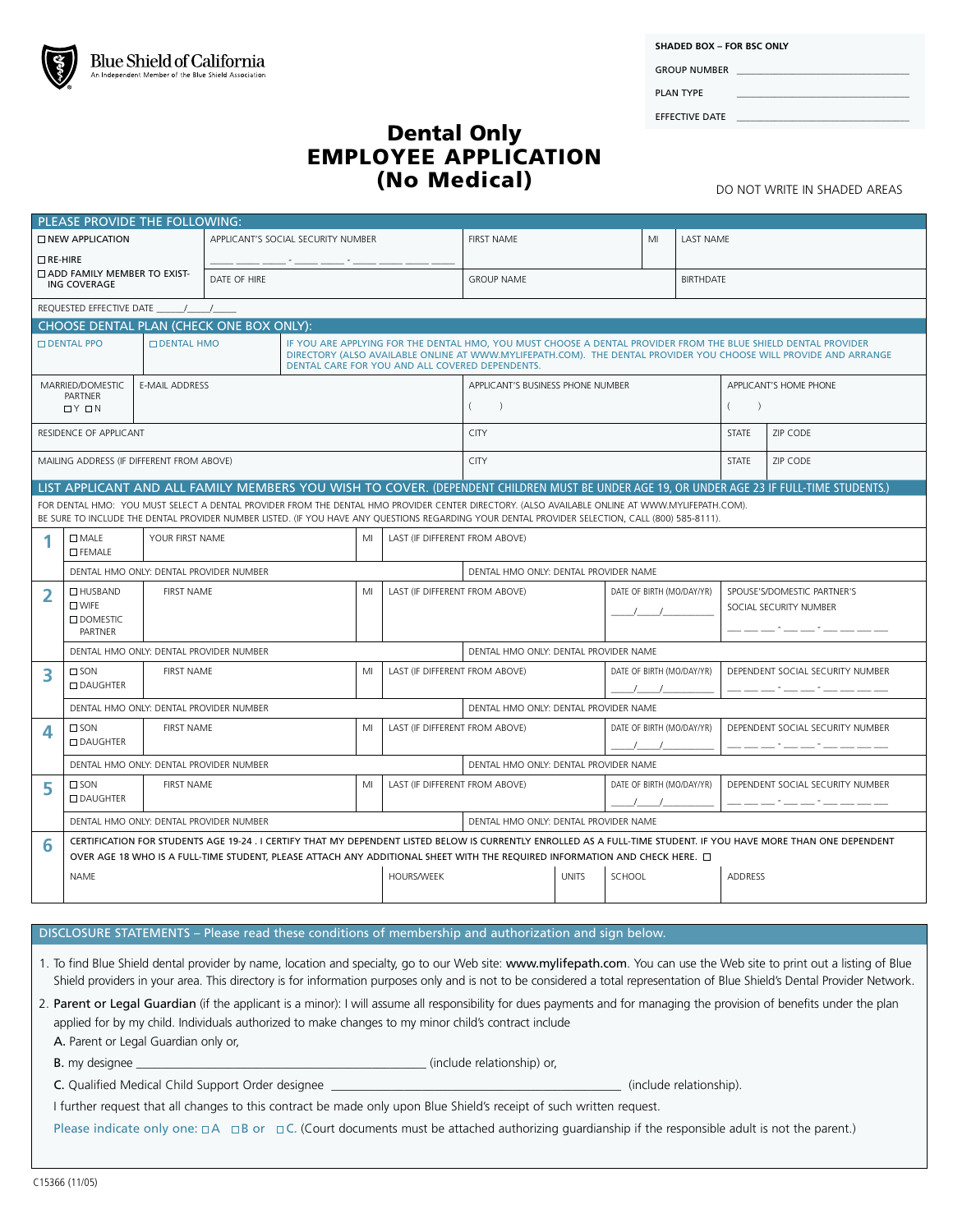|  | Blue Shield of California                            |
|--|------------------------------------------------------|
|  | An Independent Member of the Blue Shield Association |

GROUP NUMBER PLAN TYPE

EFFECTIVE DATE

## Dental Only EMPLOYEE APPLICATION (No Medical) DO NOT WRITE IN SHADED AREAS

|                                                                                                                                                                                                                                                                                                                                                                                                                                                   | PLEASE PROVIDE THE FOLLOWING:                                                                                                                                                                                                                                                                   |                       |                                    |    |                                      |                                       |                                                                                                                                                                                                                                                                                       |                           |                           |                           |                                  |                                  |                                  |  |  |
|---------------------------------------------------------------------------------------------------------------------------------------------------------------------------------------------------------------------------------------------------------------------------------------------------------------------------------------------------------------------------------------------------------------------------------------------------|-------------------------------------------------------------------------------------------------------------------------------------------------------------------------------------------------------------------------------------------------------------------------------------------------|-----------------------|------------------------------------|----|--------------------------------------|---------------------------------------|---------------------------------------------------------------------------------------------------------------------------------------------------------------------------------------------------------------------------------------------------------------------------------------|---------------------------|---------------------------|---------------------------|----------------------------------|----------------------------------|----------------------------------|--|--|
| <b>NEW APPLICATION</b>                                                                                                                                                                                                                                                                                                                                                                                                                            |                                                                                                                                                                                                                                                                                                 |                       | APPLICANT'S SOCIAL SECURITY NUMBER |    |                                      |                                       | <b>FIRST NAME</b><br>MI                                                                                                                                                                                                                                                               |                           |                           | <b>LAST NAME</b>          |                                  |                                  |                                  |  |  |
| $\Box$ RE-HIRE<br><b>CADD FAMILY MEMBER TO EXIST-</b><br>ING COVERAGE                                                                                                                                                                                                                                                                                                                                                                             |                                                                                                                                                                                                                                                                                                 |                       |                                    |    |                                      |                                       |                                                                                                                                                                                                                                                                                       |                           |                           |                           |                                  |                                  |                                  |  |  |
|                                                                                                                                                                                                                                                                                                                                                                                                                                                   |                                                                                                                                                                                                                                                                                                 |                       | DATE OF HIRE                       |    |                                      |                                       | <b>GROUP NAME</b>                                                                                                                                                                                                                                                                     |                           |                           |                           |                                  | <b>BIRTHDATE</b>                 |                                  |  |  |
| REQUESTED EFFECTIVE DATE / /                                                                                                                                                                                                                                                                                                                                                                                                                      |                                                                                                                                                                                                                                                                                                 |                       |                                    |    |                                      |                                       |                                                                                                                                                                                                                                                                                       |                           |                           |                           |                                  |                                  |                                  |  |  |
| CHOOSE DENTAL PLAN (CHECK ONE BOX ONLY):                                                                                                                                                                                                                                                                                                                                                                                                          |                                                                                                                                                                                                                                                                                                 |                       |                                    |    |                                      |                                       |                                                                                                                                                                                                                                                                                       |                           |                           |                           |                                  |                                  |                                  |  |  |
| <b>DENTAL PPO</b><br><b>DENTAL HMO</b>                                                                                                                                                                                                                                                                                                                                                                                                            |                                                                                                                                                                                                                                                                                                 |                       |                                    |    |                                      |                                       | IF YOU ARE APPLYING FOR THE DENTAL HMO, YOU MUST CHOOSE A DENTAL PROVIDER FROM THE BLUE SHIELD DENTAL PROVIDER<br>DIRECTORY (ALSO AVAILABLE ONLINE AT WWW.MYLIFEPATH.COM). THE DENTAL PROVIDER YOU CHOOSE WILL PROVIDE AND ARRANGE<br>DENTAL CARE FOR YOU AND ALL COVERED DEPENDENTS. |                           |                           |                           |                                  |                                  |                                  |  |  |
| MARRIED/DOMESTIC                                                                                                                                                                                                                                                                                                                                                                                                                                  |                                                                                                                                                                                                                                                                                                 | <b>E-MAIL ADDRESS</b> |                                    |    |                                      |                                       | APPLICANT'S BUSINESS PHONE NUMBER                                                                                                                                                                                                                                                     |                           |                           |                           |                                  | APPLICANT'S HOME PHONE           |                                  |  |  |
|                                                                                                                                                                                                                                                                                                                                                                                                                                                   | <b>PARTNER</b><br>$\Box$ $\vee$ $\Box$ $\vee$                                                                                                                                                                                                                                                   |                       |                                    |    |                                      |                                       | $\left($<br>$\rightarrow$                                                                                                                                                                                                                                                             |                           |                           |                           |                                  | $\left($<br>$\rightarrow$        |                                  |  |  |
| RESIDENCE OF APPLICANT                                                                                                                                                                                                                                                                                                                                                                                                                            |                                                                                                                                                                                                                                                                                                 |                       |                                    |    |                                      |                                       | <b>CITY</b>                                                                                                                                                                                                                                                                           |                           |                           |                           |                                  | <b>STATE</b>                     | ZIP CODE                         |  |  |
| MAILING ADDRESS (IF DIFFERENT FROM ABOVE)                                                                                                                                                                                                                                                                                                                                                                                                         |                                                                                                                                                                                                                                                                                                 |                       |                                    |    |                                      | <b>CITY</b>                           |                                                                                                                                                                                                                                                                                       |                           |                           |                           |                                  | <b>ZIP CODE</b>                  |                                  |  |  |
|                                                                                                                                                                                                                                                                                                                                                                                                                                                   |                                                                                                                                                                                                                                                                                                 |                       |                                    |    |                                      |                                       |                                                                                                                                                                                                                                                                                       |                           |                           |                           |                                  |                                  |                                  |  |  |
| LIST APPLICANT AND ALL FAMILY MEMBERS YOU WISH TO COVER. (DEPENDENT CHILDREN MUST BE UNDER AGE 19, OR UNDER AGE 23 IF FULL-TIME STUDENTS.)<br>FOR DENTAL HMO: YOU MUST SELECT A DENTAL PROVIDER FROM THE DENTAL HMO PROVIDER CENTER DIRECTORY. (ALSO AVAILABLE ONLINE AT WWW.MYLIFEPATH.COM).<br>BE SURE TO INCLUDE THE DENTAL PROVIDER NUMBER LISTED. (IF YOU HAVE ANY QUESTIONS REGARDING YOUR DENTAL PROVIDER SELECTION, CALL (800) 585-8111). |                                                                                                                                                                                                                                                                                                 |                       |                                    |    |                                      |                                       |                                                                                                                                                                                                                                                                                       |                           |                           |                           |                                  |                                  |                                  |  |  |
|                                                                                                                                                                                                                                                                                                                                                                                                                                                   | YOUR FIRST NAME<br>$\square$ MALE<br>MI<br><b>D</b> FEMALE                                                                                                                                                                                                                                      |                       |                                    |    |                                      | LAST (IF DIFFERENT FROM ABOVE)        |                                                                                                                                                                                                                                                                                       |                           |                           |                           |                                  |                                  |                                  |  |  |
|                                                                                                                                                                                                                                                                                                                                                                                                                                                   | DENTAL HMO ONLY: DENTAL PROVIDER NUMBER                                                                                                                                                                                                                                                         |                       |                                    |    |                                      |                                       | DENTAL HMO ONLY: DENTAL PROVIDER NAME                                                                                                                                                                                                                                                 |                           |                           |                           |                                  |                                  |                                  |  |  |
|                                                                                                                                                                                                                                                                                                                                                                                                                                                   | $\Box$ HUSBAND                                                                                                                                                                                                                                                                                  | <b>FIRST NAME</b>     |                                    |    | MI                                   | LAST (IF DIFFERENT FROM ABOVE)        |                                                                                                                                                                                                                                                                                       |                           |                           | DATE OF BIRTH (MO/DAY/YR) |                                  |                                  | SPOUSE'S/DOMESTIC PARTNER'S      |  |  |
|                                                                                                                                                                                                                                                                                                                                                                                                                                                   | $\square$ WIFE<br><b>ODOMESTIC</b>                                                                                                                                                                                                                                                              |                       |                                    |    |                                      |                                       |                                                                                                                                                                                                                                                                                       |                           |                           |                           | SOCIAL SECURITY NUMBER           |                                  |                                  |  |  |
|                                                                                                                                                                                                                                                                                                                                                                                                                                                   | PARTNER                                                                                                                                                                                                                                                                                         |                       |                                    |    |                                      |                                       |                                                                                                                                                                                                                                                                                       |                           |                           |                           |                                  |                                  |                                  |  |  |
|                                                                                                                                                                                                                                                                                                                                                                                                                                                   | DENTAL HMO ONLY: DENTAL PROVIDER NUMBER                                                                                                                                                                                                                                                         |                       |                                    |    |                                      |                                       | DENTAL HMO ONLY: DENTAL PROVIDER NAME                                                                                                                                                                                                                                                 |                           |                           |                           |                                  |                                  |                                  |  |  |
| 3                                                                                                                                                                                                                                                                                                                                                                                                                                                 | $\square$ SON                                                                                                                                                                                                                                                                                   | <b>FIRST NAME</b>     |                                    |    | MI<br>LAST (IF DIFFERENT FROM ABOVE) |                                       |                                                                                                                                                                                                                                                                                       |                           |                           | DATE OF BIRTH (MO/DAY/YR) |                                  |                                  | DEPENDENT SOCIAL SECURITY NUMBER |  |  |
|                                                                                                                                                                                                                                                                                                                                                                                                                                                   | <b>DAUGHTER</b>                                                                                                                                                                                                                                                                                 |                       |                                    |    |                                      |                                       |                                                                                                                                                                                                                                                                                       |                           |                           |                           |                                  |                                  |                                  |  |  |
|                                                                                                                                                                                                                                                                                                                                                                                                                                                   | DENTAL HMO ONLY: DENTAL PROVIDER NUMBER                                                                                                                                                                                                                                                         |                       |                                    |    |                                      |                                       | DENTAL HMO ONLY: DENTAL PROVIDER NAME                                                                                                                                                                                                                                                 |                           |                           |                           |                                  |                                  |                                  |  |  |
| 4                                                                                                                                                                                                                                                                                                                                                                                                                                                 | $\square$ SON<br><b>DAUGHTER</b>                                                                                                                                                                                                                                                                | <b>FIRST NAME</b>     |                                    |    | MI                                   | LAST (IF DIFFERENT FROM ABOVE)        |                                                                                                                                                                                                                                                                                       |                           | DATE OF BIRTH (MO/DAY/YR) |                           |                                  | DEPENDENT SOCIAL SECURITY NUMBER |                                  |  |  |
|                                                                                                                                                                                                                                                                                                                                                                                                                                                   | DENTAL HMO ONLY: DENTAL PROVIDER NUMBER                                                                                                                                                                                                                                                         |                       |                                    |    |                                      | DENTAL HMO ONLY: DENTAL PROVIDER NAME |                                                                                                                                                                                                                                                                                       |                           |                           |                           |                                  |                                  |                                  |  |  |
| 5                                                                                                                                                                                                                                                                                                                                                                                                                                                 | $\square$ SON<br><b>FIRST NAME</b><br><b>DAUGHTER</b>                                                                                                                                                                                                                                           |                       |                                    | MI | LAST (IF DIFFERENT FROM ABOVE)       |                                       |                                                                                                                                                                                                                                                                                       | DATE OF BIRTH (MO/DAY/YR) |                           |                           | DEPENDENT SOCIAL SECURITY NUMBER |                                  |                                  |  |  |
|                                                                                                                                                                                                                                                                                                                                                                                                                                                   |                                                                                                                                                                                                                                                                                                 |                       |                                    |    |                                      |                                       |                                                                                                                                                                                                                                                                                       |                           |                           |                           |                                  |                                  |                                  |  |  |
|                                                                                                                                                                                                                                                                                                                                                                                                                                                   | DENTAL HMO ONLY: DENTAL PROVIDER NUMBER                                                                                                                                                                                                                                                         |                       |                                    |    |                                      |                                       | DENTAL HMO ONLY: DENTAL PROVIDER NAME                                                                                                                                                                                                                                                 |                           |                           |                           |                                  |                                  |                                  |  |  |
| 6                                                                                                                                                                                                                                                                                                                                                                                                                                                 | CERTIFICATION FOR STUDENTS AGE 19-24 . I CERTIFY THAT MY DEPENDENT LISTED BELOW IS CURRENTLY ENROLLED AS A FULL-TIME STUDENT. IF YOU HAVE MORE THAN ONE DEPENDENT<br>OVER AGE 18 WHO IS A FULL-TIME STUDENT, PLEASE ATTACH ANY ADDITIONAL SHEET WITH THE REQUIRED INFORMATION AND CHECK HERE. O |                       |                                    |    |                                      |                                       |                                                                                                                                                                                                                                                                                       |                           |                           |                           |                                  |                                  |                                  |  |  |
|                                                                                                                                                                                                                                                                                                                                                                                                                                                   | <b>HOURS/WEEK</b><br>NAME                                                                                                                                                                                                                                                                       |                       |                                    |    |                                      | <b>UNITS</b><br>SCHOOL                |                                                                                                                                                                                                                                                                                       |                           |                           | ADDRESS                   |                                  |                                  |                                  |  |  |
|                                                                                                                                                                                                                                                                                                                                                                                                                                                   |                                                                                                                                                                                                                                                                                                 |                       |                                    |    |                                      |                                       |                                                                                                                                                                                                                                                                                       |                           |                           |                           |                                  |                                  |                                  |  |  |
|                                                                                                                                                                                                                                                                                                                                                                                                                                                   |                                                                                                                                                                                                                                                                                                 |                       |                                    |    |                                      |                                       |                                                                                                                                                                                                                                                                                       |                           |                           |                           |                                  |                                  |                                  |  |  |

## DISCLOSURE STATEMENTS – Please read these conditions of membership and authorization and sign below.

- 1. To find Blue Shield dental provider by name, location and specialty, go to our Web site: www.mylifepath.com. You can use the Web site to print out a listing of Blue Shield providers in your area. This directory is for information purposes only and is not to be considered a total representation of Blue Shield's Dental Provider Network.
- 2. Parent or Legal Guardian (if the applicant is a minor): I will assume all responsibility for dues payments and for managing the provision of benefits under the plan applied for by my child. Individuals authorized to make changes to my minor child's contract include

A. Parent or Legal Guardian only or,

B. my designee \_\_\_\_\_\_\_\_\_\_\_\_\_\_\_\_\_\_\_\_\_\_\_\_\_\_\_\_\_\_\_\_\_\_\_\_\_\_\_\_\_\_\_\_\_\_\_\_ (include relationship) or,

C. Qualified Medical Child Support Order designee \_\_\_\_\_\_\_\_\_\_\_\_\_\_\_\_\_\_\_\_\_\_\_\_\_\_\_\_\_\_\_\_\_\_\_\_\_\_\_\_\_\_\_\_\_\_\_\_ (include relationship).

I further request that all changes to this contract be made only upon Blue Shield's receipt of such written request.

Please indicate only one:  $\Box A$   $\Box B$  or  $\Box C$ . (Court documents must be attached authorizing guardianship if the responsible adult is not the parent.)